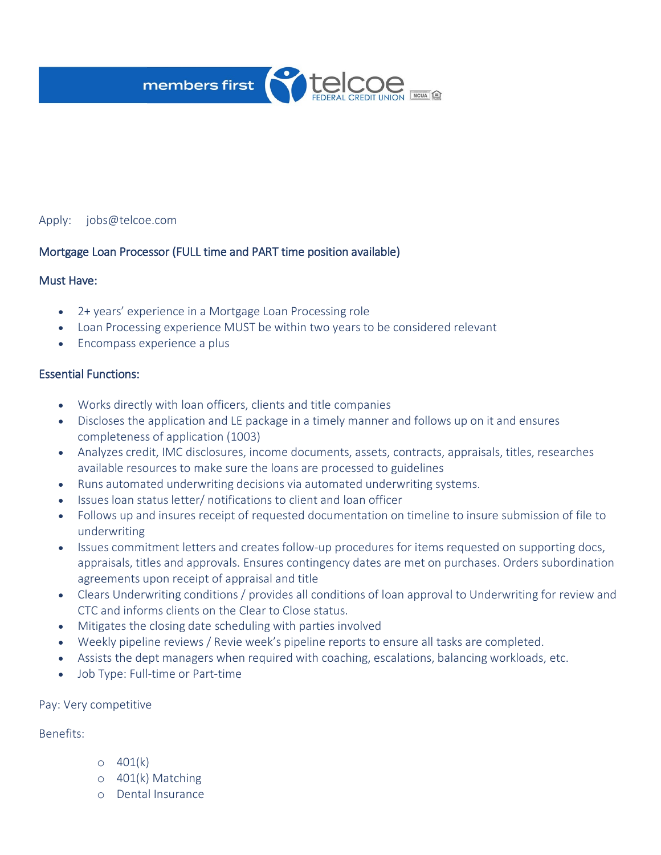

## Apply: jobs@telcoe.com

## Mortgage Loan Processor (FULL time and PART time position available)

## Must Have:

- 2+ years' experience in a Mortgage Loan Processing role
- Loan Processing experience MUST be within two years to be considered relevant
- Encompass experience a plus

## Essential Functions:

- Works directly with loan officers, clients and title companies
- Discloses the application and LE package in a timely manner and follows up on it and ensures completeness of application (1003)
- Analyzes credit, IMC disclosures, income documents, assets, contracts, appraisals, titles, researches available resources to make sure the loans are processed to guidelines
- Runs automated underwriting decisions via automated underwriting systems.
- Issues loan status letter/ notifications to client and loan officer
- Follows up and insures receipt of requested documentation on timeline to insure submission of file to underwriting
- Issues commitment letters and creates follow-up procedures for items requested on supporting docs, appraisals, titles and approvals. Ensures contingency dates are met on purchases. Orders subordination agreements upon receipt of appraisal and title
- Clears Underwriting conditions / provides all conditions of loan approval to Underwriting for review and CTC and informs clients on the Clear to Close status.
- Mitigates the closing date scheduling with parties involved
- Weekly pipeline reviews / Revie week's pipeline reports to ensure all tasks are completed.
- Assists the dept managers when required with coaching, escalations, balancing workloads, etc.
- Job Type: Full-time or Part-time

#### Pay: Very competitive

### Benefits:

- $0 401(k)$
- o 401(k) Matching
- o Dental Insurance